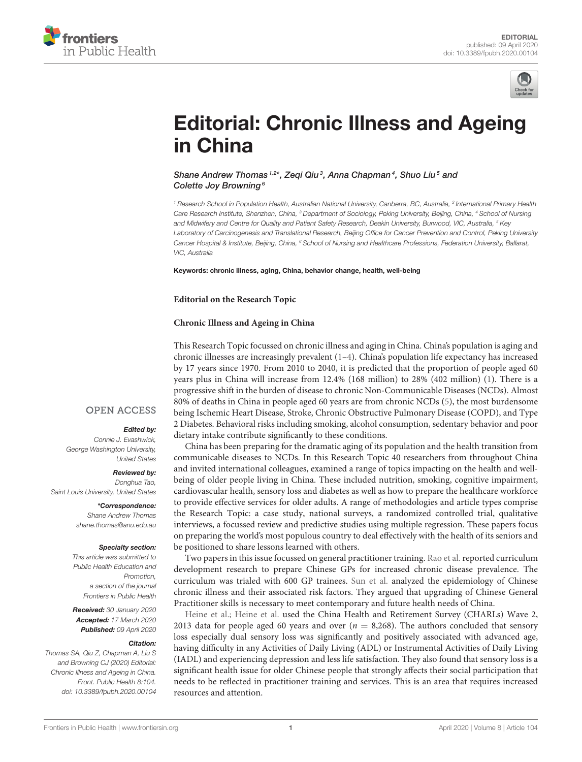



# [Editorial: Chronic Illness and Ageing](https://www.frontiersin.org/articles/10.3389/fpubh.2020.00104/full) in China

[Shane Andrew Thomas](http://loop.frontiersin.org/people/91731/overview) 1,2\*, [Zeqi Qiu](http://loop.frontiersin.org/people/103223/overview)<sup>3</sup>, [Anna Chapman](http://loop.frontiersin.org/people/186409/overview)<sup>4</sup>, [Shuo Liu](http://loop.frontiersin.org/people/184132/overview)<sup>5</sup> and [Colette Joy Browning](http://loop.frontiersin.org/people/91738/overview)<sup>6</sup>

*<sup>1</sup> Research School in Population Health, Australian National University, Canberra, BC, Australia, <sup>2</sup> International Primary Health Care Research Institute, Shenzhen, China, <sup>3</sup> Department of Sociology, Peking University, Beijing, China, <sup>4</sup> School of Nursing and Midwifery and Centre for Quality and Patient Safety Research, Deakin University, Burwood, VIC, Australia, <sup>5</sup> Key Laboratory of Carcinogenesis and Translational Research, Beijing Office for Cancer Prevention and Control, Peking University Cancer Hospital & Institute, Beijing, China, <sup>6</sup> School of Nursing and Healthcare Professions, Federation University, Ballarat, VIC, Australia*

Keywords: chronic illness, aging, China, behavior change, health, well-being

### **Editorial on the Research Topic**

## **[Chronic Illness and Ageing in China](https://www.frontiersin.org/research-topics/7544/chronic-illness-and-ageing-in-china)**

This Research Topic focussed on chronic illness and aging in China. China's population is aging and chronic illnesses are increasingly prevalent [\(1](#page-1-0)[–4\)](#page-1-1). China's population life expectancy has increased by 17 years since 1970. From 2010 to 2040, it is predicted that the proportion of people aged 60 years plus in China will increase from 12.4% (168 million) to 28% (402 million) [\(1\)](#page-1-0). There is a progressive shift in the burden of disease to chronic Non-Communicable Diseases (NCDs). Almost 80% of deaths in China in people aged 60 years are from chronic NCDs [\(5\)](#page-1-2), the most burdensome being Ischemic Heart Disease, Stroke, Chronic Obstructive Pulmonary Disease (COPD), and Type 2 Diabetes. Behavioral risks including smoking, alcohol consumption, sedentary behavior and poor dietary intake contribute significantly to these conditions.

China has been preparing for the dramatic aging of its population and the health transition from communicable diseases to NCDs. In this Research Topic 40 researchers from throughout China and invited international colleagues, examined a range of topics impacting on the health and wellbeing of older people living in China. These included nutrition, smoking, cognitive impairment, cardiovascular health, sensory loss and diabetes as well as how to prepare the healthcare workforce to provide effective services for older adults. A range of methodologies and article types comprise the Research Topic: a case study, national surveys, a randomized controlled trial, qualitative interviews, a focussed review and predictive studies using multiple regression. These papers focus on preparing the world's most populous country to deal effectively with the health of its seniors and be positioned to share lessons learned with others.

Two papers in this issue focussed on general practitioner training. [Rao et al.](https://doi.org/10.3389/fpubh.2020.00023) reported curriculum development research to prepare Chinese GPs for increased chronic disease prevalence. The curriculum was trialed with 600 GP trainees. [Sun et al.](https://doi.org/10.3389/fpubh.2019.00168) analyzed the epidemiology of Chinese chronic illness and their associated risk factors. They argued that upgrading of Chinese General Practitioner skills is necessary to meet contemporary and future health needs of China.

[Heine et al.;](https://doi.org/10.3389/fpubh.2019.00005) [Heine et al.](https://doi.org/10.3389/fpubh.2019.00092) used the China Health and Retirement Survey (CHARLs) Wave 2, 2013 data for people aged 60 years and over ( $n = 8,268$ ). The authors concluded that sensory loss especially dual sensory loss was significantly and positively associated with advanced age, having difficulty in any Activities of Daily Living (ADL) or Instrumental Activities of Daily Living (IADL) and experiencing depression and less life satisfaction. They also found that sensory loss is a significant health issue for older Chinese people that strongly affects their social participation that needs to be reflected in practitioner training and services. This is an area that requires increased resources and attention.

# **OPEN ACCESS**

#### Edited by:

*Connie J. Evashwick, George Washington University, United States*

#### Reviewed by:

*Donghua Tao, Saint Louis University, United States*

> \*Correspondence: *Shane Andrew Thomas [shane.thomas@anu.edu.au](mailto:shane.thomas@anu.edu.au)*

#### Specialty section:

*This article was submitted to Public Health Education and Promotion, a section of the journal Frontiers in Public Health*

Received: *30 January 2020* Accepted: *17 March 2020* Published: *09 April 2020*

#### Citation:

*Thomas SA, Qiu Z, Chapman A, Liu S and Browning CJ (2020) Editorial: Chronic Illness and Ageing in China. Front. Public Health 8:104. doi: [10.3389/fpubh.2020.00104](https://doi.org/10.3389/fpubh.2020.00104)*